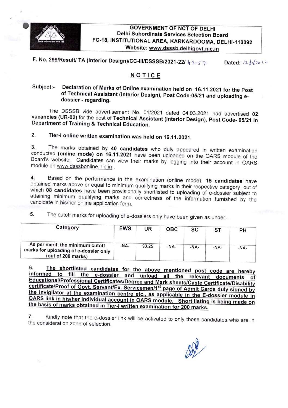

**GOVERNMENT OF NCT OF DELHI** Delhi Subordinate Services Selection Board FC-18, INSTITUTIONAL AREA, KARKARDOOMA, DELHI-110092 Website: www.dsssb.delhigovt.nic.in

F. No. 299/Result/ TA (Interior Design)/CC-III/DSSSB/2021-22/  $\sqrt{q^2+q^2}$  Dated:  $|2\sqrt{q^2+q^2}$ 

## NOTICE

## Subject:- Declaration of Marks of Online examination held on 16.11.2021 for the Post of Technical Assistant (Interior Design), Post Code-05/21 and uploading edossier - regarding.

The DSSSB vide advertisement No. 01/2021 dated 04.03.2021 had advertised 02 vacancies (UR-02) for the post of Technical Assistant (Interior Design), Post Code-05/21 in Department of Training & Technical Education.

## 2. Tier-I online written examinatlon was held on 16.11.2021.

3. The marks obtained by 40 candidates who duly appeared in written examination conducted (online mode) on 16.11.2021 have been uploaded on the OARS module of the Board's website. Candidates can view their marks by logging into their account in OARS module on www.dsssbonline.nic.in.

4. Based on the performance in the examination (online mode), 15 candidates have obtained marks above or equal to minimum qualifying marks in their respective category out of which 08 candidates have been provisionally shortlisted to uploading of e-dossier subject to attaining minimum qualifying marks and correctness of the information furnished by the candidate in his/her online application form.

5. The cutoff marks for uploading of e-dossiers only have been given as under:-

| Category                                                                                        | <b>EWS</b> | UR    | <b>OBC</b> | sc     | ST     | PН     |
|-------------------------------------------------------------------------------------------------|------------|-------|------------|--------|--------|--------|
| As per merit, the minimum cutoff<br>marks for uploading of e-dossier only<br>(out of 200 marks) | -NA-       | 93.25 | $-NA-$     | $-NA-$ | $-NA-$ | $-NA-$ |

The shortlisted candidates for the above mentioned post code are hereby 6. informed to fill the e-dossier and upload all the relevant documents of <u>Educational/Professional Certificates/Degree and Mark sheets/Caste Certificate/Disability</u> <u>the invigilator at the examination centre etc.</u>, as applicable in the E-dossier module in<br>CABS link in his here in this the invitator of the invitation of the invitation of the module in OARS link in his/her individual account in OARS module. Short listing is being made on the basis of marks obtained in Tier-I written examination for 200 marks.

7. Kindly note that the e-dossier link will be activated to only those candidates who are in the consideration zone of selection.

 $\oslash$